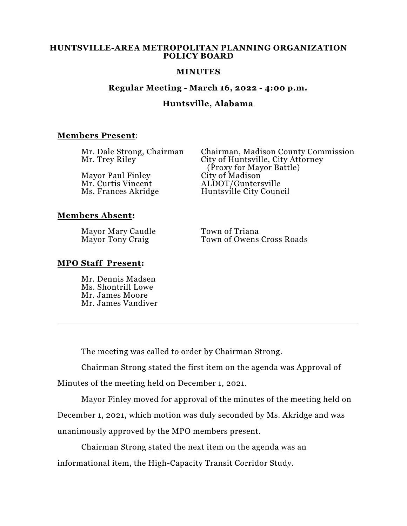### **HUNTSVILLE-AREA METROPOLITAN PLANNING ORGANIZATION POLICY BOARD**

### **MINUTES**

## **Regular Meeting - March 16, 2022 - 4:00 p.m.**

## **Huntsville, Alabama**

## **Members Present**:

| Mr. Dale Strong, Chairman | Chairman, Madison County Commission |
|---------------------------|-------------------------------------|
| Mr. Trey Riley            | City of Huntsville, City Attorney   |
|                           | (Proxy for Mayor Battle)            |
| <b>Mayor Paul Finley</b>  | City of Madison                     |
| Mr. Curtis Vincent        | ALDOT/Guntersville                  |
| Ms. Frances Akridge       | Huntsville City Council             |
|                           |                                     |
|                           |                                     |

## **Members Absent:**

Mayor Mary Caudle<br>
Mayor Tony Craig<br>
Town of Owens

Town of Owens Cross Roads

### **MPO Staff Present:**

Mr. Dennis Madsen Ms. Shontrill Lowe Mr. James Moore Mr. James Vandiver

The meeting was called to order by Chairman Strong.

Chairman Strong stated the first item on the agenda was Approval of

Minutes of the meeting held on December 1, 2021.

Mayor Finley moved for approval of the minutes of the meeting held on December 1, 2021, which motion was duly seconded by Ms. Akridge and was unanimously approved by the MPO members present.

Chairman Strong stated the next item on the agenda was an informational item, the High-Capacity Transit Corridor Study.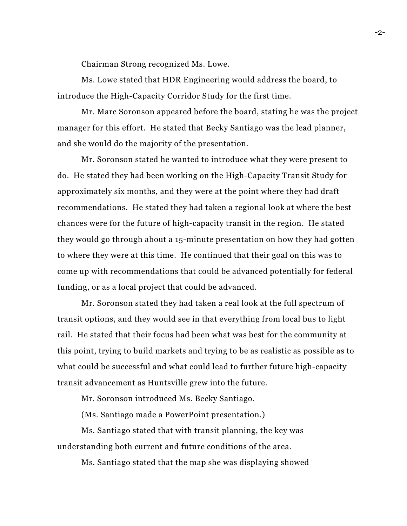Chairman Strong recognized Ms. Lowe.

Ms. Lowe stated that HDR Engineering would address the board, to introduce the High-Capacity Corridor Study for the first time.

Mr. Marc Soronson appeared before the board, stating he was the project manager for this effort. He stated that Becky Santiago was the lead planner, and she would do the majority of the presentation.

Mr. Soronson stated he wanted to introduce what they were present to do. He stated they had been working on the High-Capacity Transit Study for approximately six months, and they were at the point where they had draft recommendations. He stated they had taken a regional look at where the best chances were for the future of high-capacity transit in the region. He stated they would go through about a 15-minute presentation on how they had gotten to where they were at this time. He continued that their goal on this was to come up with recommendations that could be advanced potentially for federal funding, or as a local project that could be advanced.

Mr. Soronson stated they had taken a real look at the full spectrum of transit options, and they would see in that everything from local bus to light rail. He stated that their focus had been what was best for the community at this point, trying to build markets and trying to be as realistic as possible as to what could be successful and what could lead to further future high-capacity transit advancement as Huntsville grew into the future.

Mr. Soronson introduced Ms. Becky Santiago.

(Ms. Santiago made a PowerPoint presentation.)

Ms. Santiago stated that with transit planning, the key was understanding both current and future conditions of the area.

Ms. Santiago stated that the map she was displaying showed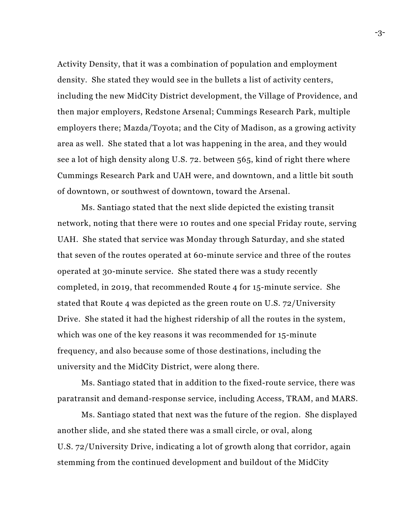Activity Density, that it was a combination of population and employment density. She stated they would see in the bullets a list of activity centers, including the new MidCity District development, the Village of Providence, and then major employers, Redstone Arsenal; Cummings Research Park, multiple employers there; Mazda/Toyota; and the City of Madison, as a growing activity area as well. She stated that a lot was happening in the area, and they would see a lot of high density along U.S. 72. between 565, kind of right there where Cummings Research Park and UAH were, and downtown, and a little bit south of downtown, or southwest of downtown, toward the Arsenal.

Ms. Santiago stated that the next slide depicted the existing transit network, noting that there were 10 routes and one special Friday route, serving UAH. She stated that service was Monday through Saturday, and she stated that seven of the routes operated at 60-minute service and three of the routes operated at 30-minute service. She stated there was a study recently completed, in 2019, that recommended Route 4 for 15-minute service. She stated that Route 4 was depicted as the green route on U.S. 72/University Drive. She stated it had the highest ridership of all the routes in the system, which was one of the key reasons it was recommended for 15-minute frequency, and also because some of those destinations, including the university and the MidCity District, were along there.

Ms. Santiago stated that in addition to the fixed-route service, there was paratransit and demand-response service, including Access, TRAM, and MARS.

Ms. Santiago stated that next was the future of the region. She displayed another slide, and she stated there was a small circle, or oval, along U.S. 72/University Drive, indicating a lot of growth along that corridor, again stemming from the continued development and buildout of the MidCity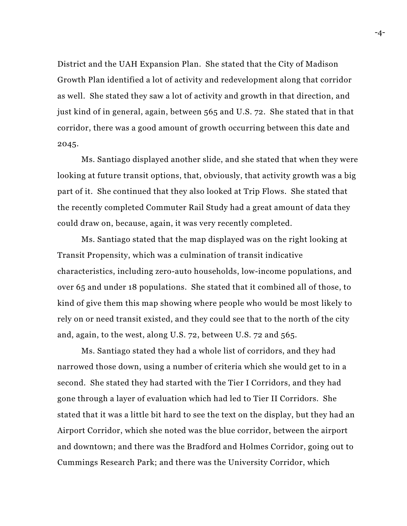District and the UAH Expansion Plan. She stated that the City of Madison Growth Plan identified a lot of activity and redevelopment along that corridor as well. She stated they saw a lot of activity and growth in that direction, and just kind of in general, again, between 565 and U.S. 72. She stated that in that corridor, there was a good amount of growth occurring between this date and 2045.

Ms. Santiago displayed another slide, and she stated that when they were looking at future transit options, that, obviously, that activity growth was a big part of it. She continued that they also looked at Trip Flows. She stated that the recently completed Commuter Rail Study had a great amount of data they could draw on, because, again, it was very recently completed.

Ms. Santiago stated that the map displayed was on the right looking at Transit Propensity, which was a culmination of transit indicative characteristics, including zero-auto households, low-income populations, and over 65 and under 18 populations. She stated that it combined all of those, to kind of give them this map showing where people who would be most likely to rely on or need transit existed, and they could see that to the north of the city and, again, to the west, along U.S. 72, between U.S. 72 and 565.

Ms. Santiago stated they had a whole list of corridors, and they had narrowed those down, using a number of criteria which she would get to in a second. She stated they had started with the Tier I Corridors, and they had gone through a layer of evaluation which had led to Tier II Corridors. She stated that it was a little bit hard to see the text on the display, but they had an Airport Corridor, which she noted was the blue corridor, between the airport and downtown; and there was the Bradford and Holmes Corridor, going out to Cummings Research Park; and there was the University Corridor, which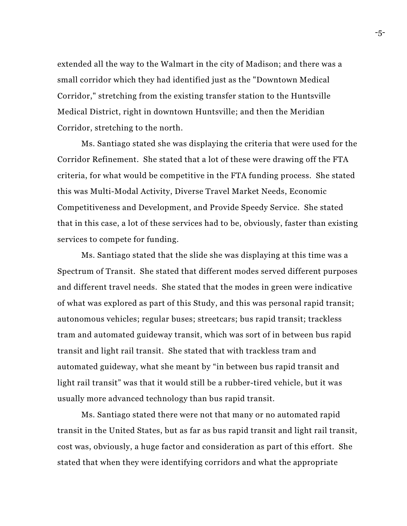extended all the way to the Walmart in the city of Madison; and there was a small corridor which they had identified just as the "Downtown Medical Corridor," stretching from the existing transfer station to the Huntsville Medical District, right in downtown Huntsville; and then the Meridian Corridor, stretching to the north.

Ms. Santiago stated she was displaying the criteria that were used for the Corridor Refinement. She stated that a lot of these were drawing off the FTA criteria, for what would be competitive in the FTA funding process. She stated this was Multi-Modal Activity, Diverse Travel Market Needs, Economic Competitiveness and Development, and Provide Speedy Service. She stated that in this case, a lot of these services had to be, obviously, faster than existing services to compete for funding.

Ms. Santiago stated that the slide she was displaying at this time was a Spectrum of Transit. She stated that different modes served different purposes and different travel needs. She stated that the modes in green were indicative of what was explored as part of this Study, and this was personal rapid transit; autonomous vehicles; regular buses; streetcars; bus rapid transit; trackless tram and automated guideway transit, which was sort of in between bus rapid transit and light rail transit. She stated that with trackless tram and automated guideway, what she meant by "in between bus rapid transit and light rail transit" was that it would still be a rubber-tired vehicle, but it was usually more advanced technology than bus rapid transit.

Ms. Santiago stated there were not that many or no automated rapid transit in the United States, but as far as bus rapid transit and light rail transit, cost was, obviously, a huge factor and consideration as part of this effort. She stated that when they were identifying corridors and what the appropriate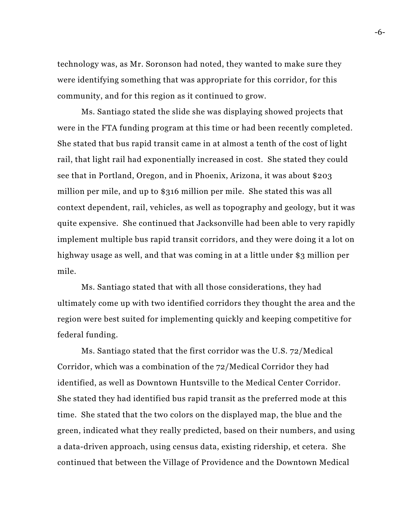technology was, as Mr. Soronson had noted, they wanted to make sure they were identifying something that was appropriate for this corridor, for this community, and for this region as it continued to grow.

Ms. Santiago stated the slide she was displaying showed projects that were in the FTA funding program at this time or had been recently completed. She stated that bus rapid transit came in at almost a tenth of the cost of light rail, that light rail had exponentially increased in cost. She stated they could see that in Portland, Oregon, and in Phoenix, Arizona, it was about \$203 million per mile, and up to \$316 million per mile. She stated this was all context dependent, rail, vehicles, as well as topography and geology, but it was quite expensive. She continued that Jacksonville had been able to very rapidly implement multiple bus rapid transit corridors, and they were doing it a lot on highway usage as well, and that was coming in at a little under \$3 million per mile.

Ms. Santiago stated that with all those considerations, they had ultimately come up with two identified corridors they thought the area and the region were best suited for implementing quickly and keeping competitive for federal funding.

Ms. Santiago stated that the first corridor was the U.S. 72/Medical Corridor, which was a combination of the 72/Medical Corridor they had identified, as well as Downtown Huntsville to the Medical Center Corridor. She stated they had identified bus rapid transit as the preferred mode at this time. She stated that the two colors on the displayed map, the blue and the green, indicated what they really predicted, based on their numbers, and using a data-driven approach, using census data, existing ridership, et cetera. She continued that between the Village of Providence and the Downtown Medical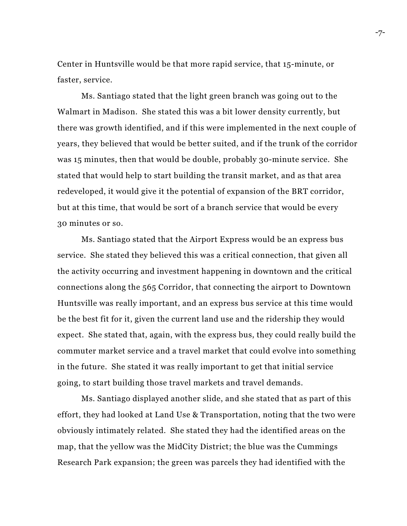Center in Huntsville would be that more rapid service, that 15-minute, or faster, service.

Ms. Santiago stated that the light green branch was going out to the Walmart in Madison. She stated this was a bit lower density currently, but there was growth identified, and if this were implemented in the next couple of years, they believed that would be better suited, and if the trunk of the corridor was 15 minutes, then that would be double, probably 30-minute service. She stated that would help to start building the transit market, and as that area redeveloped, it would give it the potential of expansion of the BRT corridor, but at this time, that would be sort of a branch service that would be every 30 minutes or so.

Ms. Santiago stated that the Airport Express would be an express bus service. She stated they believed this was a critical connection, that given all the activity occurring and investment happening in downtown and the critical connections along the 565 Corridor, that connecting the airport to Downtown Huntsville was really important, and an express bus service at this time would be the best fit for it, given the current land use and the ridership they would expect. She stated that, again, with the express bus, they could really build the commuter market service and a travel market that could evolve into something in the future. She stated it was really important to get that initial service going, to start building those travel markets and travel demands.

Ms. Santiago displayed another slide, and she stated that as part of this effort, they had looked at Land Use & Transportation, noting that the two were obviously intimately related. She stated they had the identified areas on the map, that the yellow was the MidCity District; the blue was the Cummings Research Park expansion; the green was parcels they had identified with the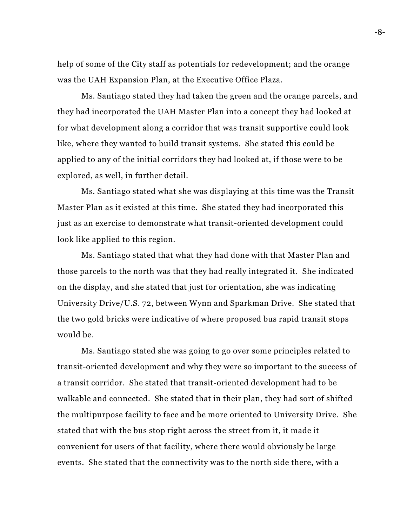help of some of the City staff as potentials for redevelopment; and the orange was the UAH Expansion Plan, at the Executive Office Plaza.

Ms. Santiago stated they had taken the green and the orange parcels, and they had incorporated the UAH Master Plan into a concept they had looked at for what development along a corridor that was transit supportive could look like, where they wanted to build transit systems. She stated this could be applied to any of the initial corridors they had looked at, if those were to be explored, as well, in further detail.

Ms. Santiago stated what she was displaying at this time was the Transit Master Plan as it existed at this time. She stated they had incorporated this just as an exercise to demonstrate what transit-oriented development could look like applied to this region.

Ms. Santiago stated that what they had done with that Master Plan and those parcels to the north was that they had really integrated it. She indicated on the display, and she stated that just for orientation, she was indicating University Drive/U.S. 72, between Wynn and Sparkman Drive. She stated that the two gold bricks were indicative of where proposed bus rapid transit stops would be.

Ms. Santiago stated she was going to go over some principles related to transit-oriented development and why they were so important to the success of a transit corridor. She stated that transit-oriented development had to be walkable and connected. She stated that in their plan, they had sort of shifted the multipurpose facility to face and be more oriented to University Drive. She stated that with the bus stop right across the street from it, it made it convenient for users of that facility, where there would obviously be large events. She stated that the connectivity was to the north side there, with a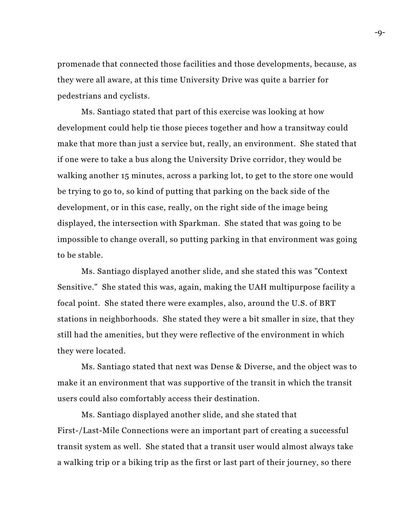promenade that connected those facilities and those developments, because, as they were all aware, at this time University Drive was quite a barrier for pedestrians and cyclists.

Ms. Santiago stated that part of this exercise was looking at how development could help tie those pieces together and how a transitway could make that more than just a service but, really, an environment. She stated that if one were to take a bus along the University Drive corridor, they would be walking another 15 minutes, across a parking lot, to get to the store one would be trying to go to, so kind of putting that parking on the back side of the development, or in this case, really, on the right side of the image being displayed, the intersection with Sparkman. She stated that was going to be impossible to change overall, so putting parking in that environment was going to be stable.

Ms. Santiago displayed another slide, and she stated this was "Context Sensitive." She stated this was, again, making the UAH multipurpose facility a focal point. She stated there were examples, also, around the U.S. of BRT stations in neighborhoods. She stated they were a bit smaller in size, that they still had the amenities, but they were reflective of the environment in which they were located.

Ms. Santiago stated that next was Dense & Diverse, and the object was to make it an environment that was supportive of the transit in which the transit users could also comfortably access their destination.

Ms. Santiago displayed another slide, and she stated that First-/Last-Mile Connections were an important part of creating a successful transit system as well. She stated that a transit user would almost always take a walking trip or a biking trip as the first or last part of their journey, so there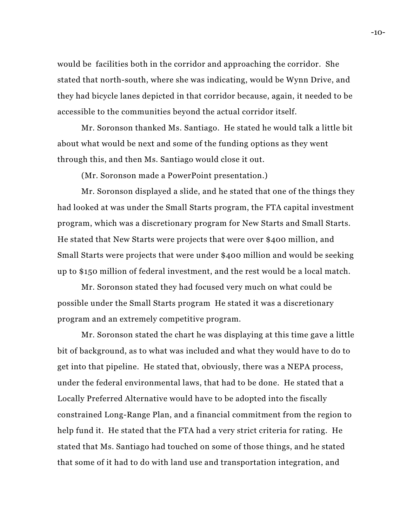would be facilities both in the corridor and approaching the corridor. She stated that north-south, where she was indicating, would be Wynn Drive, and they had bicycle lanes depicted in that corridor because, again, it needed to be accessible to the communities beyond the actual corridor itself.

Mr. Soronson thanked Ms. Santiago. He stated he would talk a little bit about what would be next and some of the funding options as they went through this, and then Ms. Santiago would close it out.

(Mr. Soronson made a PowerPoint presentation.)

Mr. Soronson displayed a slide, and he stated that one of the things they had looked at was under the Small Starts program, the FTA capital investment program, which was a discretionary program for New Starts and Small Starts. He stated that New Starts were projects that were over \$400 million, and Small Starts were projects that were under \$400 million and would be seeking up to \$150 million of federal investment, and the rest would be a local match.

Mr. Soronson stated they had focused very much on what could be possible under the Small Starts program He stated it was a discretionary program and an extremely competitive program.

Mr. Soronson stated the chart he was displaying at this time gave a little bit of background, as to what was included and what they would have to do to get into that pipeline. He stated that, obviously, there was a NEPA process, under the federal environmental laws, that had to be done. He stated that a Locally Preferred Alternative would have to be adopted into the fiscally constrained Long-Range Plan, and a financial commitment from the region to help fund it. He stated that the FTA had a very strict criteria for rating. He stated that Ms. Santiago had touched on some of those things, and he stated that some of it had to do with land use and transportation integration, and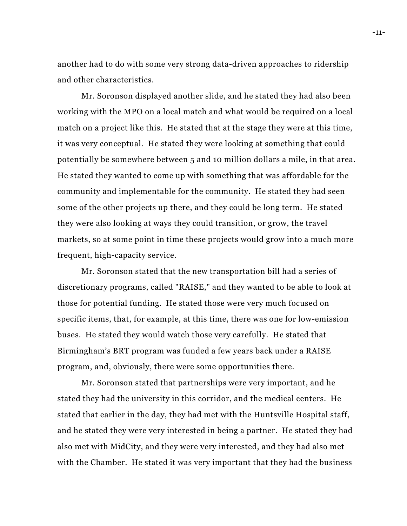another had to do with some very strong data-driven approaches to ridership and other characteristics.

Mr. Soronson displayed another slide, and he stated they had also been working with the MPO on a local match and what would be required on a local match on a project like this. He stated that at the stage they were at this time, it was very conceptual. He stated they were looking at something that could potentially be somewhere between 5 and 10 million dollars a mile, in that area. He stated they wanted to come up with something that was affordable for the community and implementable for the community. He stated they had seen some of the other projects up there, and they could be long term. He stated they were also looking at ways they could transition, or grow, the travel markets, so at some point in time these projects would grow into a much more frequent, high-capacity service.

Mr. Soronson stated that the new transportation bill had a series of discretionary programs, called "RAISE," and they wanted to be able to look at those for potential funding. He stated those were very much focused on specific items, that, for example, at this time, there was one for low-emission buses. He stated they would watch those very carefully. He stated that Birmingham's BRT program was funded a few years back under a RAISE program, and, obviously, there were some opportunities there.

Mr. Soronson stated that partnerships were very important, and he stated they had the university in this corridor, and the medical centers. He stated that earlier in the day, they had met with the Huntsville Hospital staff, and he stated they were very interested in being a partner. He stated they had also met with MidCity, and they were very interested, and they had also met with the Chamber. He stated it was very important that they had the business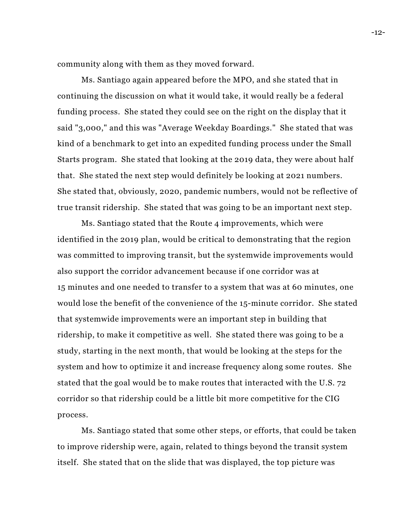community along with them as they moved forward.

Ms. Santiago again appeared before the MPO, and she stated that in continuing the discussion on what it would take, it would really be a federal funding process. She stated they could see on the right on the display that it said "3,000," and this was "Average Weekday Boardings." She stated that was kind of a benchmark to get into an expedited funding process under the Small Starts program. She stated that looking at the 2019 data, they were about half that. She stated the next step would definitely be looking at 2021 numbers. She stated that, obviously, 2020, pandemic numbers, would not be reflective of true transit ridership. She stated that was going to be an important next step.

Ms. Santiago stated that the Route 4 improvements, which were identified in the 2019 plan, would be critical to demonstrating that the region was committed to improving transit, but the systemwide improvements would also support the corridor advancement because if one corridor was at 15 minutes and one needed to transfer to a system that was at 60 minutes, one would lose the benefit of the convenience of the 15-minute corridor. She stated that systemwide improvements were an important step in building that ridership, to make it competitive as well. She stated there was going to be a study, starting in the next month, that would be looking at the steps for the system and how to optimize it and increase frequency along some routes. She stated that the goal would be to make routes that interacted with the U.S. 72 corridor so that ridership could be a little bit more competitive for the CIG process.

Ms. Santiago stated that some other steps, or efforts, that could be taken to improve ridership were, again, related to things beyond the transit system itself. She stated that on the slide that was displayed, the top picture was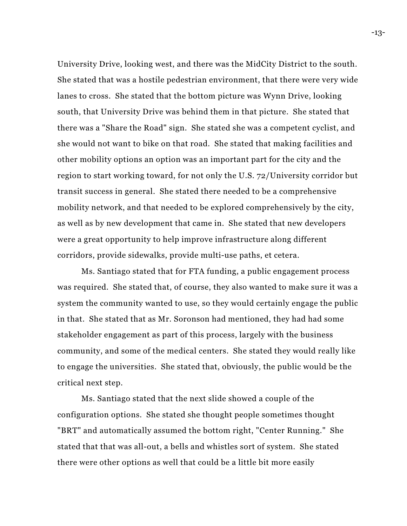University Drive, looking west, and there was the MidCity District to the south. She stated that was a hostile pedestrian environment, that there were very wide lanes to cross. She stated that the bottom picture was Wynn Drive, looking south, that University Drive was behind them in that picture. She stated that there was a "Share the Road" sign. She stated she was a competent cyclist, and she would not want to bike on that road. She stated that making facilities and other mobility options an option was an important part for the city and the region to start working toward, for not only the U.S. 72/University corridor but transit success in general. She stated there needed to be a comprehensive mobility network, and that needed to be explored comprehensively by the city, as well as by new development that came in. She stated that new developers were a great opportunity to help improve infrastructure along different corridors, provide sidewalks, provide multi-use paths, et cetera.

Ms. Santiago stated that for FTA funding, a public engagement process was required. She stated that, of course, they also wanted to make sure it was a system the community wanted to use, so they would certainly engage the public in that. She stated that as Mr. Soronson had mentioned, they had had some stakeholder engagement as part of this process, largely with the business community, and some of the medical centers. She stated they would really like to engage the universities. She stated that, obviously, the public would be the critical next step.

Ms. Santiago stated that the next slide showed a couple of the configuration options. She stated she thought people sometimes thought "BRT" and automatically assumed the bottom right, "Center Running." She stated that that was all-out, a bells and whistles sort of system. She stated there were other options as well that could be a little bit more easily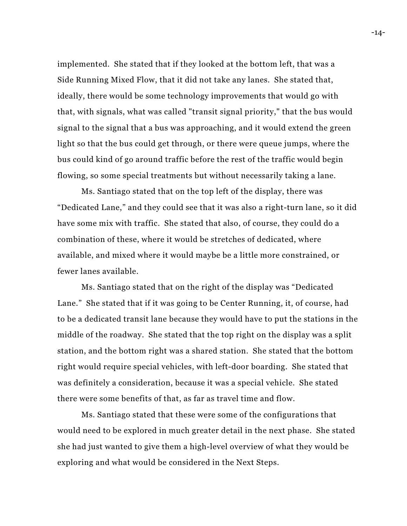implemented. She stated that if they looked at the bottom left, that was a Side Running Mixed Flow, that it did not take any lanes. She stated that, ideally, there would be some technology improvements that would go with that, with signals, what was called "transit signal priority," that the bus would signal to the signal that a bus was approaching, and it would extend the green light so that the bus could get through, or there were queue jumps, where the bus could kind of go around traffic before the rest of the traffic would begin flowing, so some special treatments but without necessarily taking a lane.

Ms. Santiago stated that on the top left of the display, there was "Dedicated Lane," and they could see that it was also a right-turn lane, so it did have some mix with traffic. She stated that also, of course, they could do a combination of these, where it would be stretches of dedicated, where available, and mixed where it would maybe be a little more constrained, or fewer lanes available.

Ms. Santiago stated that on the right of the display was "Dedicated Lane." She stated that if it was going to be Center Running, it, of course, had to be a dedicated transit lane because they would have to put the stations in the middle of the roadway. She stated that the top right on the display was a split station, and the bottom right was a shared station. She stated that the bottom right would require special vehicles, with left-door boarding. She stated that was definitely a consideration, because it was a special vehicle. She stated there were some benefits of that, as far as travel time and flow.

Ms. Santiago stated that these were some of the configurations that would need to be explored in much greater detail in the next phase. She stated she had just wanted to give them a high-level overview of what they would be exploring and what would be considered in the Next Steps.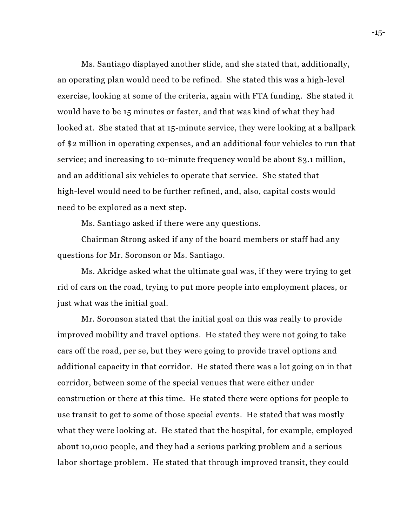Ms. Santiago displayed another slide, and she stated that, additionally, an operating plan would need to be refined. She stated this was a high-level exercise, looking at some of the criteria, again with FTA funding. She stated it would have to be 15 minutes or faster, and that was kind of what they had looked at. She stated that at 15-minute service, they were looking at a ballpark of \$2 million in operating expenses, and an additional four vehicles to run that service; and increasing to 10-minute frequency would be about \$3.1 million, and an additional six vehicles to operate that service. She stated that high-level would need to be further refined, and, also, capital costs would need to be explored as a next step.

Ms. Santiago asked if there were any questions.

Chairman Strong asked if any of the board members or staff had any questions for Mr. Soronson or Ms. Santiago.

Ms. Akridge asked what the ultimate goal was, if they were trying to get rid of cars on the road, trying to put more people into employment places, or just what was the initial goal.

Mr. Soronson stated that the initial goal on this was really to provide improved mobility and travel options. He stated they were not going to take cars off the road, per se, but they were going to provide travel options and additional capacity in that corridor. He stated there was a lot going on in that corridor, between some of the special venues that were either under construction or there at this time. He stated there were options for people to use transit to get to some of those special events. He stated that was mostly what they were looking at. He stated that the hospital, for example, employed about 10,000 people, and they had a serious parking problem and a serious labor shortage problem. He stated that through improved transit, they could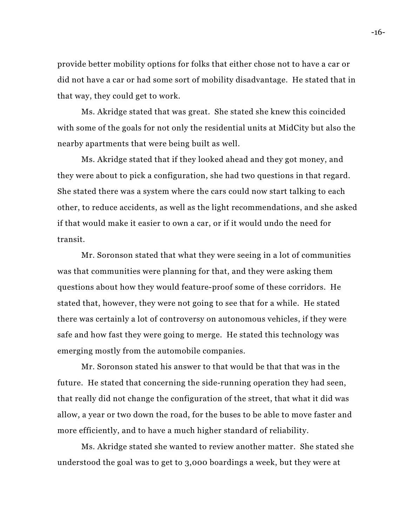provide better mobility options for folks that either chose not to have a car or did not have a car or had some sort of mobility disadvantage. He stated that in that way, they could get to work.

Ms. Akridge stated that was great. She stated she knew this coincided with some of the goals for not only the residential units at MidCity but also the nearby apartments that were being built as well.

Ms. Akridge stated that if they looked ahead and they got money, and they were about to pick a configuration, she had two questions in that regard. She stated there was a system where the cars could now start talking to each other, to reduce accidents, as well as the light recommendations, and she asked if that would make it easier to own a car, or if it would undo the need for transit.

Mr. Soronson stated that what they were seeing in a lot of communities was that communities were planning for that, and they were asking them questions about how they would feature-proof some of these corridors. He stated that, however, they were not going to see that for a while. He stated there was certainly a lot of controversy on autonomous vehicles, if they were safe and how fast they were going to merge. He stated this technology was emerging mostly from the automobile companies.

Mr. Soronson stated his answer to that would be that that was in the future. He stated that concerning the side-running operation they had seen, that really did not change the configuration of the street, that what it did was allow, a year or two down the road, for the buses to be able to move faster and more efficiently, and to have a much higher standard of reliability.

Ms. Akridge stated she wanted to review another matter. She stated she understood the goal was to get to 3,000 boardings a week, but they were at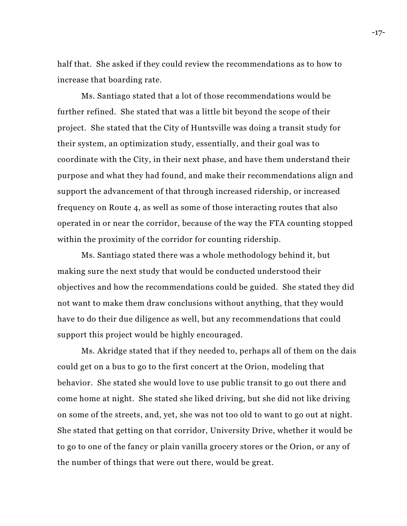half that. She asked if they could review the recommendations as to how to increase that boarding rate.

Ms. Santiago stated that a lot of those recommendations would be further refined. She stated that was a little bit beyond the scope of their project. She stated that the City of Huntsville was doing a transit study for their system, an optimization study, essentially, and their goal was to coordinate with the City, in their next phase, and have them understand their purpose and what they had found, and make their recommendations align and support the advancement of that through increased ridership, or increased frequency on Route 4, as well as some of those interacting routes that also operated in or near the corridor, because of the way the FTA counting stopped within the proximity of the corridor for counting ridership.

Ms. Santiago stated there was a whole methodology behind it, but making sure the next study that would be conducted understood their objectives and how the recommendations could be guided. She stated they did not want to make them draw conclusions without anything, that they would have to do their due diligence as well, but any recommendations that could support this project would be highly encouraged.

Ms. Akridge stated that if they needed to, perhaps all of them on the dais could get on a bus to go to the first concert at the Orion, modeling that behavior. She stated she would love to use public transit to go out there and come home at night. She stated she liked driving, but she did not like driving on some of the streets, and, yet, she was not too old to want to go out at night. She stated that getting on that corridor, University Drive, whether it would be to go to one of the fancy or plain vanilla grocery stores or the Orion, or any of the number of things that were out there, would be great.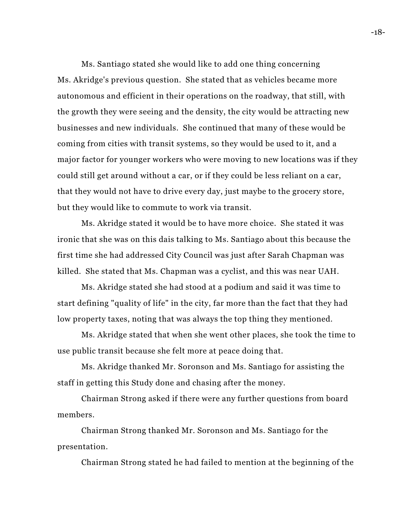Ms. Santiago stated she would like to add one thing concerning Ms. Akridge's previous question. She stated that as vehicles became more autonomous and efficient in their operations on the roadway, that still, with the growth they were seeing and the density, the city would be attracting new businesses and new individuals. She continued that many of these would be coming from cities with transit systems, so they would be used to it, and a major factor for younger workers who were moving to new locations was if they could still get around without a car, or if they could be less reliant on a car, that they would not have to drive every day, just maybe to the grocery store, but they would like to commute to work via transit.

Ms. Akridge stated it would be to have more choice. She stated it was ironic that she was on this dais talking to Ms. Santiago about this because the first time she had addressed City Council was just after Sarah Chapman was killed. She stated that Ms. Chapman was a cyclist, and this was near UAH.

Ms. Akridge stated she had stood at a podium and said it was time to start defining "quality of life" in the city, far more than the fact that they had low property taxes, noting that was always the top thing they mentioned.

Ms. Akridge stated that when she went other places, she took the time to use public transit because she felt more at peace doing that.

Ms. Akridge thanked Mr. Soronson and Ms. Santiago for assisting the staff in getting this Study done and chasing after the money.

Chairman Strong asked if there were any further questions from board members.

Chairman Strong thanked Mr. Soronson and Ms. Santiago for the presentation.

Chairman Strong stated he had failed to mention at the beginning of the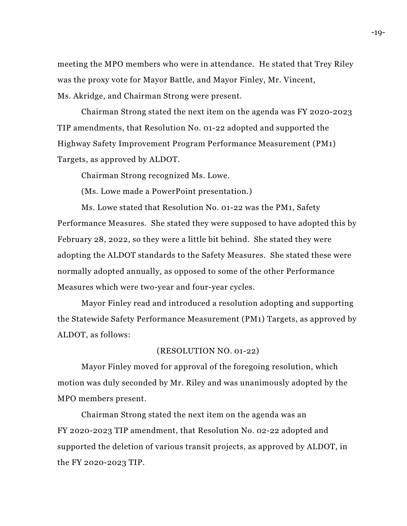meeting the MPO members who were in attendance. He stated that Trey Riley was the proxy vote for Mayor Battle, and Mayor Finley, Mr. Vincent, Ms. Akridge, and Chairman Strong were present.

Chairman Strong stated the next item on the agenda was FY 2020-2023 TIP amendments, that Resolution No. 01-22 adopted and supported the Highway Safety Improvement Program Performance Measurement (PM1) Targets, as approved by ALDOT.

Chairman Strong recognized Ms. Lowe.

(Ms. Lowe made a PowerPoint presentation.)

Ms. Lowe stated that Resolution No. 01-22 was the PM1, Safety Performance Measures. She stated they were supposed to have adopted this by February 28, 2022, so they were a little bit behind. She stated they were adopting the ALDOT standards to the Safety Measures. She stated these were normally adopted annually, as opposed to some of the other Performance Measures which were two-year and four-year cycles.

Mayor Finley read and introduced a resolution adopting and supporting the Statewide Safety Performance Measurement (PM1) Targets, as approved by ALDOT, as follows:

### (RESOLUTION NO. 01-22)

Mayor Finley moved for approval of the foregoing resolution, which motion was duly seconded by Mr. Riley and was unanimously adopted by the MPO members present.

Chairman Strong stated the next item on the agenda was an FY 2020-2023 TIP amendment, that Resolution No. 02-22 adopted and supported the deletion of various transit projects, as approved by ALDOT, in the FY 2020-2023 TIP.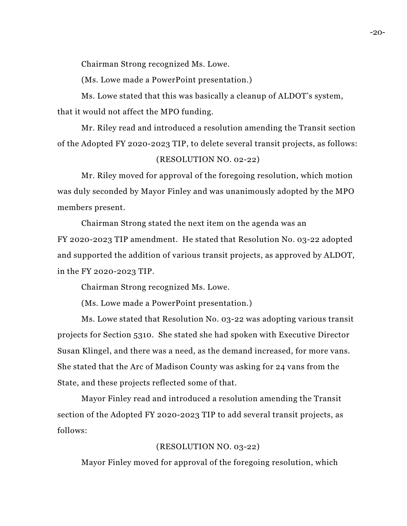Chairman Strong recognized Ms. Lowe.

(Ms. Lowe made a PowerPoint presentation.)

Ms. Lowe stated that this was basically a cleanup of ALDOT's system, that it would not affect the MPO funding.

Mr. Riley read and introduced a resolution amending the Transit section of the Adopted FY 2020-2023 TIP, to delete several transit projects, as follows:

## (RESOLUTION NO. 02-22)

Mr. Riley moved for approval of the foregoing resolution, which motion was duly seconded by Mayor Finley and was unanimously adopted by the MPO members present.

Chairman Strong stated the next item on the agenda was an FY 2020-2023 TIP amendment. He stated that Resolution No. 03-22 adopted and supported the addition of various transit projects, as approved by ALDOT, in the FY 2020-2023 TIP.

Chairman Strong recognized Ms. Lowe.

(Ms. Lowe made a PowerPoint presentation.)

Ms. Lowe stated that Resolution No. 03-22 was adopting various transit projects for Section 5310. She stated she had spoken with Executive Director Susan Klingel, and there was a need, as the demand increased, for more vans. She stated that the Arc of Madison County was asking for 24 vans from the State, and these projects reflected some of that.

Mayor Finley read and introduced a resolution amending the Transit section of the Adopted FY 2020-2023 TIP to add several transit projects, as follows:

# (RESOLUTION NO. 03-22)

Mayor Finley moved for approval of the foregoing resolution, which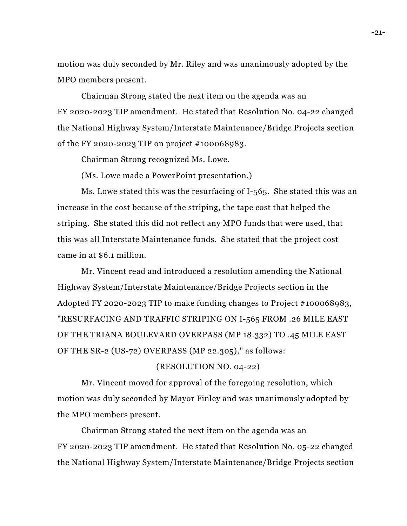motion was duly seconded by Mr. Riley and was unanimously adopted by the MPO members present.

Chairman Strong stated the next item on the agenda was an FY 2020-2023 TIP amendment. He stated that Resolution No. 04-22 changed the National Highway System/Interstate Maintenance/Bridge Projects section of the FY 2020-2023 TIP on project #100068983.

Chairman Strong recognized Ms. Lowe.

(Ms. Lowe made a PowerPoint presentation.)

Ms. Lowe stated this was the resurfacing of I-565. She stated this was an increase in the cost because of the striping, the tape cost that helped the striping. She stated this did not reflect any MPO funds that were used, that this was all Interstate Maintenance funds. She stated that the project cost came in at \$6.1 million.

Mr. Vincent read and introduced a resolution amending the National Highway System/Interstate Maintenance/Bridge Projects section in the Adopted FY 2020-2023 TIP to make funding changes to Project #100068983, "RESURFACING AND TRAFFIC STRIPING ON I-565 FROM .26 MILE EAST OF THE TRIANA BOULEVARD OVERPASS (MP 18.332) TO .45 MILE EAST OF THE SR-2 (US-72) OVERPASS (MP 22.305)," as follows:

## (RESOLUTION NO. 04-22)

Mr. Vincent moved for approval of the foregoing resolution, which motion was duly seconded by Mayor Finley and was unanimously adopted by the MPO members present.

Chairman Strong stated the next item on the agenda was an FY 2020-2023 TIP amendment. He stated that Resolution No. 05-22 changed the National Highway System/Interstate Maintenance/Bridge Projects section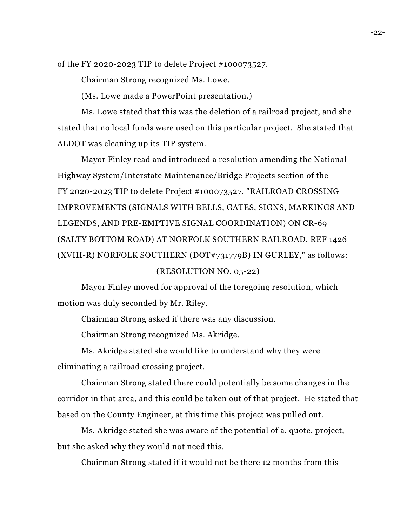of the FY 2020-2023 TIP to delete Project #100073527.

Chairman Strong recognized Ms. Lowe.

(Ms. Lowe made a PowerPoint presentation.)

Ms. Lowe stated that this was the deletion of a railroad project, and she stated that no local funds were used on this particular project. She stated that ALDOT was cleaning up its TIP system.

Mayor Finley read and introduced a resolution amending the National Highway System/Interstate Maintenance/Bridge Projects section of the FY 2020-2023 TIP to delete Project #100073527, "RAILROAD CROSSING IMPROVEMENTS (SIGNALS WITH BELLS, GATES, SIGNS, MARKINGS AND LEGENDS, AND PRE-EMPTIVE SIGNAL COORDINATION) ON CR-69 (SALTY BOTTOM ROAD) AT NORFOLK SOUTHERN RAILROAD, REF 1426 (XVIII-R) NORFOLK SOUTHERN (DOT#731779B) IN GURLEY," as follows:

## (RESOLUTION NO. 05-22)

Mayor Finley moved for approval of the foregoing resolution, which motion was duly seconded by Mr. Riley.

Chairman Strong asked if there was any discussion.

Chairman Strong recognized Ms. Akridge.

Ms. Akridge stated she would like to understand why they were eliminating a railroad crossing project.

Chairman Strong stated there could potentially be some changes in the corridor in that area, and this could be taken out of that project. He stated that based on the County Engineer, at this time this project was pulled out.

Ms. Akridge stated she was aware of the potential of a, quote, project, but she asked why they would not need this.

Chairman Strong stated if it would not be there 12 months from this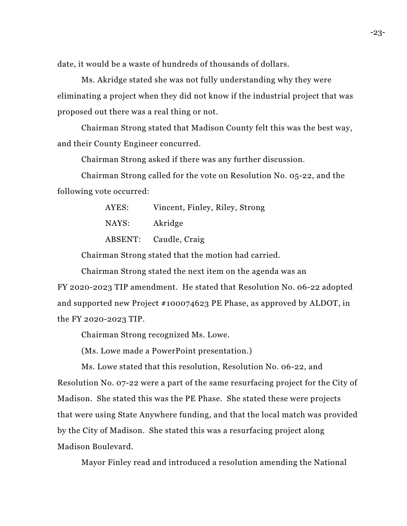date, it would be a waste of hundreds of thousands of dollars.

Ms. Akridge stated she was not fully understanding why they were eliminating a project when they did not know if the industrial project that was proposed out there was a real thing or not.

Chairman Strong stated that Madison County felt this was the best way, and their County Engineer concurred.

Chairman Strong asked if there was any further discussion.

Chairman Strong called for the vote on Resolution No. 05-22, and the following vote occurred:

| AYES: | Vincent, Finley, Riley, Strong |
|-------|--------------------------------|
| NAYS: | Akridge                        |
|       | ABSENT: Caudle, Craig          |

Chairman Strong stated that the motion had carried.

Chairman Strong stated the next item on the agenda was an FY 2020-2023 TIP amendment. He stated that Resolution No. 06-22 adopted and supported new Project #100074623 PE Phase, as approved by ALDOT, in the FY 2020-2023 TIP.

Chairman Strong recognized Ms. Lowe.

(Ms. Lowe made a PowerPoint presentation.)

Ms. Lowe stated that this resolution, Resolution No. 06-22, and Resolution No. 07-22 were a part of the same resurfacing project for the City of Madison. She stated this was the PE Phase. She stated these were projects that were using State Anywhere funding, and that the local match was provided by the City of Madison. She stated this was a resurfacing project along Madison Boulevard.

Mayor Finley read and introduced a resolution amending the National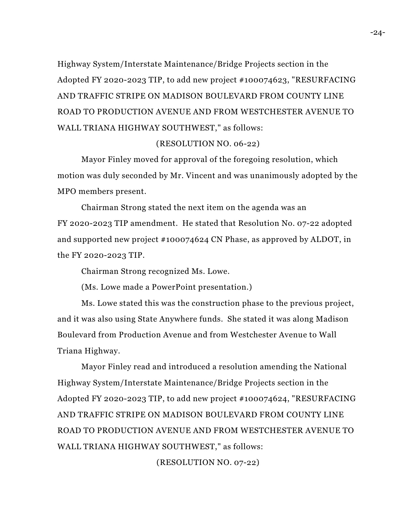Highway System/Interstate Maintenance/Bridge Projects section in the Adopted FY 2020-2023 TIP, to add new project #100074623, "RESURFACING AND TRAFFIC STRIPE ON MADISON BOULEVARD FROM COUNTY LINE ROAD TO PRODUCTION AVENUE AND FROM WESTCHESTER AVENUE TO WALL TRIANA HIGHWAY SOUTHWEST," as follows:

## (RESOLUTION NO. 06-22)

Mayor Finley moved for approval of the foregoing resolution, which motion was duly seconded by Mr. Vincent and was unanimously adopted by the MPO members present.

Chairman Strong stated the next item on the agenda was an FY 2020-2023 TIP amendment. He stated that Resolution No. 07-22 adopted and supported new project #100074624 CN Phase, as approved by ALDOT, in the FY 2020-2023 TIP.

Chairman Strong recognized Ms. Lowe.

(Ms. Lowe made a PowerPoint presentation.)

Ms. Lowe stated this was the construction phase to the previous project, and it was also using State Anywhere funds. She stated it was along Madison Boulevard from Production Avenue and from Westchester Avenue to Wall Triana Highway.

Mayor Finley read and introduced a resolution amending the National Highway System/Interstate Maintenance/Bridge Projects section in the Adopted FY 2020-2023 TIP, to add new project #100074624, "RESURFACING AND TRAFFIC STRIPE ON MADISON BOULEVARD FROM COUNTY LINE ROAD TO PRODUCTION AVENUE AND FROM WESTCHESTER AVENUE TO WALL TRIANA HIGHWAY SOUTHWEST," as follows:

(RESOLUTION NO. 07-22)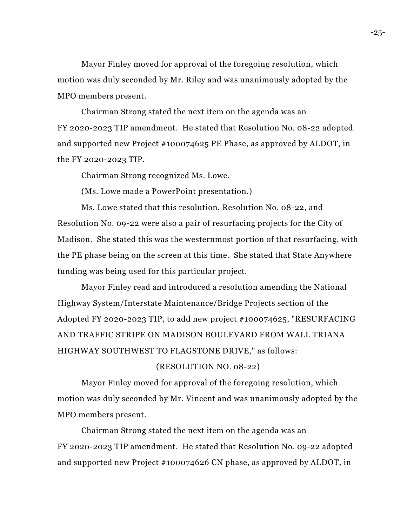Mayor Finley moved for approval of the foregoing resolution, which motion was duly seconded by Mr. Riley and was unanimously adopted by the MPO members present.

Chairman Strong stated the next item on the agenda was an FY 2020-2023 TIP amendment. He stated that Resolution No. 08-22 adopted and supported new Project #100074625 PE Phase, as approved by ALDOT, in the FY 2020-2023 TIP.

Chairman Strong recognized Ms. Lowe.

(Ms. Lowe made a PowerPoint presentation.)

Ms. Lowe stated that this resolution, Resolution No. 08-22, and Resolution No. 09-22 were also a pair of resurfacing projects for the City of Madison. She stated this was the westernmost portion of that resurfacing, with the PE phase being on the screen at this time. She stated that State Anywhere funding was being used for this particular project.

Mayor Finley read and introduced a resolution amending the National Highway System/Interstate Maintenance/Bridge Projects section of the Adopted FY 2020-2023 TIP, to add new project #100074625, "RESURFACING AND TRAFFIC STRIPE ON MADISON BOULEVARD FROM WALL TRIANA HIGHWAY SOUTHWEST TO FLAGSTONE DRIVE," as follows:

### (RESOLUTION NO. 08-22)

Mayor Finley moved for approval of the foregoing resolution, which motion was duly seconded by Mr. Vincent and was unanimously adopted by the MPO members present.

Chairman Strong stated the next item on the agenda was an FY 2020-2023 TIP amendment. He stated that Resolution No. 09-22 adopted and supported new Project #100074626 CN phase, as approved by ALDOT, in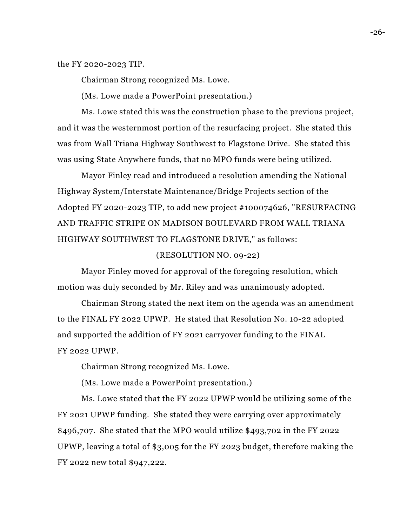the FY 2020-2023 TIP.

Chairman Strong recognized Ms. Lowe.

(Ms. Lowe made a PowerPoint presentation.)

Ms. Lowe stated this was the construction phase to the previous project, and it was the westernmost portion of the resurfacing project. She stated this was from Wall Triana Highway Southwest to Flagstone Drive. She stated this was using State Anywhere funds, that no MPO funds were being utilized.

Mayor Finley read and introduced a resolution amending the National Highway System/Interstate Maintenance/Bridge Projects section of the Adopted FY 2020-2023 TIP, to add new project #100074626, "RESURFACING AND TRAFFIC STRIPE ON MADISON BOULEVARD FROM WALL TRIANA HIGHWAY SOUTHWEST TO FLAGSTONE DRIVE," as follows:

#### (RESOLUTION NO. 09-22)

Mayor Finley moved for approval of the foregoing resolution, which motion was duly seconded by Mr. Riley and was unanimously adopted.

Chairman Strong stated the next item on the agenda was an amendment to the FINAL FY 2022 UPWP. He stated that Resolution No. 10-22 adopted and supported the addition of FY 2021 carryover funding to the FINAL FY 2022 UPWP.

Chairman Strong recognized Ms. Lowe.

(Ms. Lowe made a PowerPoint presentation.)

Ms. Lowe stated that the FY 2022 UPWP would be utilizing some of the FY 2021 UPWP funding. She stated they were carrying over approximately \$496,707. She stated that the MPO would utilize \$493,702 in the FY 2022 UPWP, leaving a total of \$3,005 for the FY 2023 budget, therefore making the FY 2022 new total \$947,222.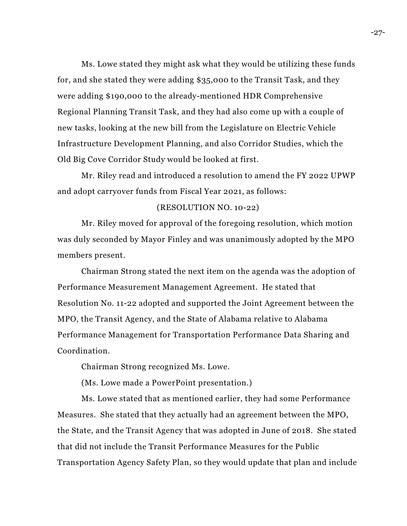Ms. Lowe stated they might ask what they would be utilizing these funds for, and she stated they were adding \$35,000 to the Transit Task, and they were adding \$190,000 to the already-mentioned HDR Comprehensive Regional Planning Transit Task, and they had also come up with a couple of new tasks, looking at the new bill from the Legislature on Electric Vehicle Infrastructure Development Planning, and also Corridor Studies, which the Old Big Cove Corridor Study would be looked at first.

Mr. Riley read and introduced a resolution to amend the FY 2022 UPWP and adopt carryover funds from Fiscal Year 2021, as follows:

### (RESOLUTION NO. 10-22)

Mr. Riley moved for approval of the foregoing resolution, which motion was duly seconded by Mayor Finley and was unanimously adopted by the MPO members present.

Chairman Strong stated the next item on the agenda was the adoption of Performance Measurement Management Agreement. He stated that Resolution No. 11-22 adopted and supported the Joint Agreement between the MPO, the Transit Agency, and the State of Alabama relative to Alabama Performance Management for Transportation Performance Data Sharing and Coordination.

Chairman Strong recognized Ms. Lowe.

(Ms. Lowe made a PowerPoint presentation.)

Ms. Lowe stated that as mentioned earlier, they had some Performance Measures. She stated that they actually had an agreement between the MPO, the State, and the Transit Agency that was adopted in June of 2018. She stated that did not include the Transit Performance Measures for the Public Transportation Agency Safety Plan, so they would update that plan and include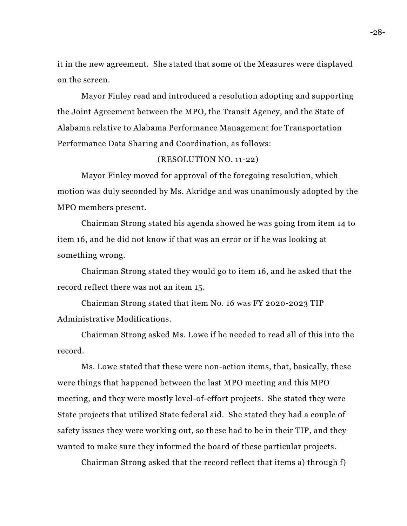it in the new agreement. She stated that some of the Measures were displayed on the screen.

Mayor Finley read and introduced a resolution adopting and supporting the Joint Agreement between the MPO, the Transit Agency, and the State of Alabama relative to Alabama Performance Management for Transportation Performance Data Sharing and Coordination, as follows:

### (RESOLUTION NO. 11-22)

Mayor Finley moved for approval of the foregoing resolution, which motion was duly seconded by Ms. Akridge and was unanimously adopted by the MPO members present.

Chairman Strong stated his agenda showed he was going from item 14 to item 16, and he did not know if that was an error or if he was looking at something wrong.

Chairman Strong stated they would go to item 16, and he asked that the record reflect there was not an item 15.

Chairman Strong stated that item No. 16 was FY 2020-2023 TIP Administrative Modifications.

Chairman Strong asked Ms. Lowe if he needed to read all of this into the record.

Ms. Lowe stated that these were non-action items, that, basically, these were things that happened between the last MPO meeting and this MPO meeting, and they were mostly level-of-effort projects. She stated they were State projects that utilized State federal aid. She stated they had a couple of safety issues they were working out, so these had to be in their TIP, and they wanted to make sure they informed the board of these particular projects.

Chairman Strong asked that the record reflect that items a) through f)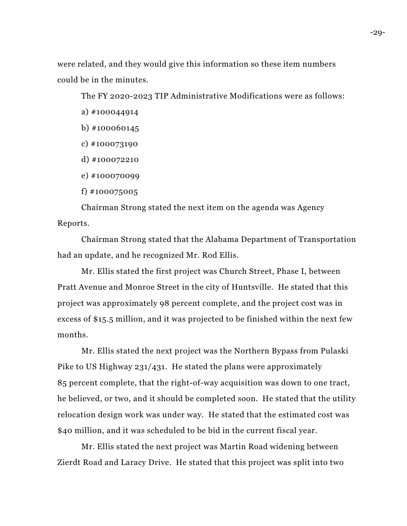were related, and they would give this information so these item numbers could be in the minutes.

The FY 2020-2023 TIP Administrative Modifications were as follows:

- a) #100044914
- b) #100060145
- c) #100073190
- d) #100072210
- e) #100070099
- f) #100075005

Chairman Strong stated the next item on the agenda was Agency Reports.

Chairman Strong stated that the Alabama Department of Transportation had an update, and he recognized Mr. Rod Ellis.

Mr. Ellis stated the first project was Church Street, Phase I, between Pratt Avenue and Monroe Street in the city of Huntsville. He stated that this project was approximately 98 percent complete, and the project cost was in excess of \$15.5 million, and it was projected to be finished within the next few months.

Mr. Ellis stated the next project was the Northern Bypass from Pulaski Pike to US Highway 231/431. He stated the plans were approximately 85 percent complete, that the right-of-way acquisition was down to one tract, he believed, or two, and it should be completed soon. He stated that the utility relocation design work was under way. He stated that the estimated cost was \$40 million, and it was scheduled to be bid in the current fiscal year.

Mr. Ellis stated the next project was Martin Road widening between Zierdt Road and Laracy Drive. He stated that this project was split into two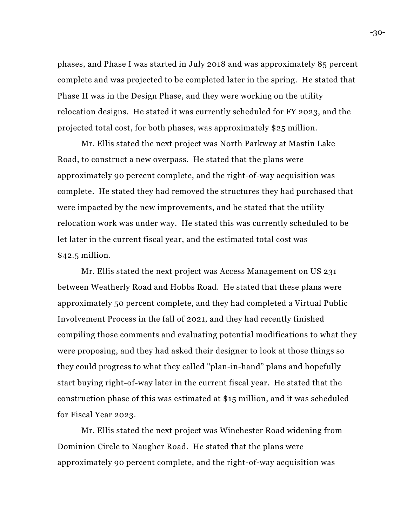phases, and Phase I was started in July 2018 and was approximately 85 percent complete and was projected to be completed later in the spring. He stated that Phase II was in the Design Phase, and they were working on the utility relocation designs. He stated it was currently scheduled for FY 2023, and the projected total cost, for both phases, was approximately \$25 million.

Mr. Ellis stated the next project was North Parkway at Mastin Lake Road, to construct a new overpass. He stated that the plans were approximately 90 percent complete, and the right-of-way acquisition was complete. He stated they had removed the structures they had purchased that were impacted by the new improvements, and he stated that the utility relocation work was under way. He stated this was currently scheduled to be let later in the current fiscal year, and the estimated total cost was \$42.5 million.

Mr. Ellis stated the next project was Access Management on US 231 between Weatherly Road and Hobbs Road. He stated that these plans were approximately 50 percent complete, and they had completed a Virtual Public Involvement Process in the fall of 2021, and they had recently finished compiling those comments and evaluating potential modifications to what they were proposing, and they had asked their designer to look at those things so they could progress to what they called "plan-in-hand" plans and hopefully start buying right-of-way later in the current fiscal year. He stated that the construction phase of this was estimated at \$15 million, and it was scheduled for Fiscal Year 2023.

Mr. Ellis stated the next project was Winchester Road widening from Dominion Circle to Naugher Road. He stated that the plans were approximately 90 percent complete, and the right-of-way acquisition was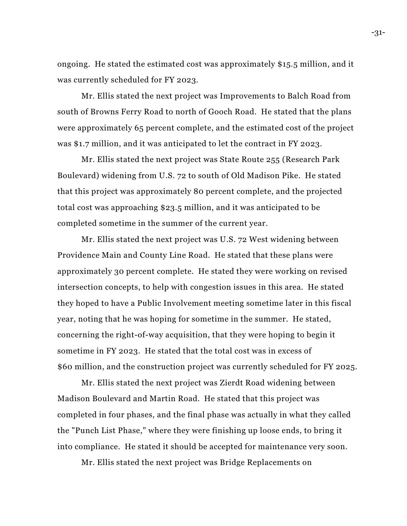ongoing. He stated the estimated cost was approximately \$15.5 million, and it was currently scheduled for FY 2023.

Mr. Ellis stated the next project was Improvements to Balch Road from south of Browns Ferry Road to north of Gooch Road. He stated that the plans were approximately 65 percent complete, and the estimated cost of the project was \$1.7 million, and it was anticipated to let the contract in FY 2023.

Mr. Ellis stated the next project was State Route 255 (Research Park Boulevard) widening from U.S. 72 to south of Old Madison Pike. He stated that this project was approximately 80 percent complete, and the projected total cost was approaching \$23.5 million, and it was anticipated to be completed sometime in the summer of the current year.

Mr. Ellis stated the next project was U.S. 72 West widening between Providence Main and County Line Road. He stated that these plans were approximately 30 percent complete. He stated they were working on revised intersection concepts, to help with congestion issues in this area. He stated they hoped to have a Public Involvement meeting sometime later in this fiscal year, noting that he was hoping for sometime in the summer. He stated, concerning the right-of-way acquisition, that they were hoping to begin it sometime in FY 2023. He stated that the total cost was in excess of \$60 million, and the construction project was currently scheduled for FY 2025.

Mr. Ellis stated the next project was Zierdt Road widening between Madison Boulevard and Martin Road. He stated that this project was completed in four phases, and the final phase was actually in what they called the "Punch List Phase," where they were finishing up loose ends, to bring it into compliance. He stated it should be accepted for maintenance very soon.

Mr. Ellis stated the next project was Bridge Replacements on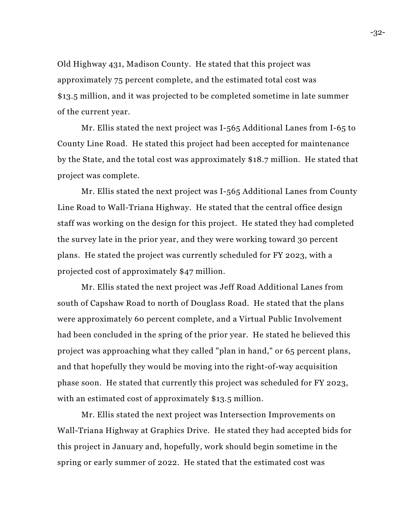Old Highway 431, Madison County. He stated that this project was approximately 75 percent complete, and the estimated total cost was \$13.5 million, and it was projected to be completed sometime in late summer of the current year.

Mr. Ellis stated the next project was I-565 Additional Lanes from I-65 to County Line Road. He stated this project had been accepted for maintenance by the State, and the total cost was approximately \$18.7 million. He stated that project was complete.

Mr. Ellis stated the next project was I-565 Additional Lanes from County Line Road to Wall-Triana Highway. He stated that the central office design staff was working on the design for this project. He stated they had completed the survey late in the prior year, and they were working toward 30 percent plans. He stated the project was currently scheduled for FY 2023, with a projected cost of approximately \$47 million.

Mr. Ellis stated the next project was Jeff Road Additional Lanes from south of Capshaw Road to north of Douglass Road. He stated that the plans were approximately 60 percent complete, and a Virtual Public Involvement had been concluded in the spring of the prior year. He stated he believed this project was approaching what they called "plan in hand," or 65 percent plans, and that hopefully they would be moving into the right-of-way acquisition phase soon. He stated that currently this project was scheduled for FY 2023, with an estimated cost of approximately \$13.5 million.

Mr. Ellis stated the next project was Intersection Improvements on Wall-Triana Highway at Graphics Drive. He stated they had accepted bids for this project in January and, hopefully, work should begin sometime in the spring or early summer of 2022. He stated that the estimated cost was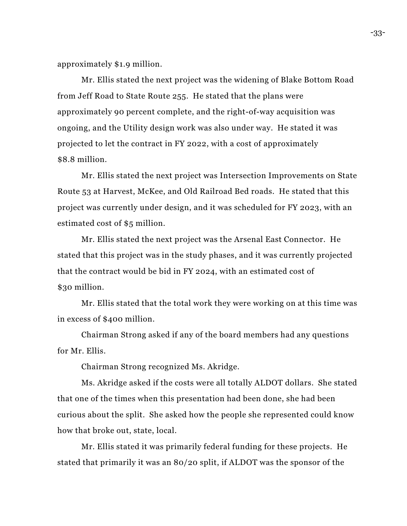approximately \$1.9 million.

Mr. Ellis stated the next project was the widening of Blake Bottom Road from Jeff Road to State Route 255. He stated that the plans were approximately 90 percent complete, and the right-of-way acquisition was ongoing, and the Utility design work was also under way. He stated it was projected to let the contract in FY 2022, with a cost of approximately \$8.8 million.

Mr. Ellis stated the next project was Intersection Improvements on State Route 53 at Harvest, McKee, and Old Railroad Bed roads. He stated that this project was currently under design, and it was scheduled for FY 2023, with an estimated cost of \$5 million.

Mr. Ellis stated the next project was the Arsenal East Connector. He stated that this project was in the study phases, and it was currently projected that the contract would be bid in FY 2024, with an estimated cost of \$30 million.

Mr. Ellis stated that the total work they were working on at this time was in excess of \$400 million.

Chairman Strong asked if any of the board members had any questions for Mr. Ellis.

Chairman Strong recognized Ms. Akridge.

Ms. Akridge asked if the costs were all totally ALDOT dollars. She stated that one of the times when this presentation had been done, she had been curious about the split. She asked how the people she represented could know how that broke out, state, local.

Mr. Ellis stated it was primarily federal funding for these projects. He stated that primarily it was an 80/20 split, if ALDOT was the sponsor of the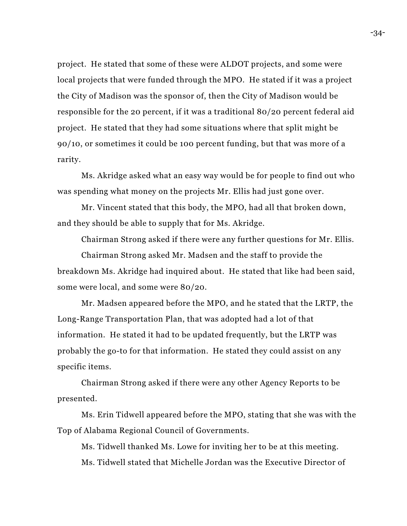project. He stated that some of these were ALDOT projects, and some were local projects that were funded through the MPO. He stated if it was a project the City of Madison was the sponsor of, then the City of Madison would be responsible for the 20 percent, if it was a traditional 80/20 percent federal aid project. He stated that they had some situations where that split might be 90/10, or sometimes it could be 100 percent funding, but that was more of a rarity.

Ms. Akridge asked what an easy way would be for people to find out who was spending what money on the projects Mr. Ellis had just gone over.

Mr. Vincent stated that this body, the MPO, had all that broken down, and they should be able to supply that for Ms. Akridge.

Chairman Strong asked if there were any further questions for Mr. Ellis.

Chairman Strong asked Mr. Madsen and the staff to provide the breakdown Ms. Akridge had inquired about. He stated that like had been said, some were local, and some were 80/20.

Mr. Madsen appeared before the MPO, and he stated that the LRTP, the Long-Range Transportation Plan, that was adopted had a lot of that information. He stated it had to be updated frequently, but the LRTP was probably the go-to for that information. He stated they could assist on any specific items.

Chairman Strong asked if there were any other Agency Reports to be presented.

Ms. Erin Tidwell appeared before the MPO, stating that she was with the Top of Alabama Regional Council of Governments.

Ms. Tidwell thanked Ms. Lowe for inviting her to be at this meeting. Ms. Tidwell stated that Michelle Jordan was the Executive Director of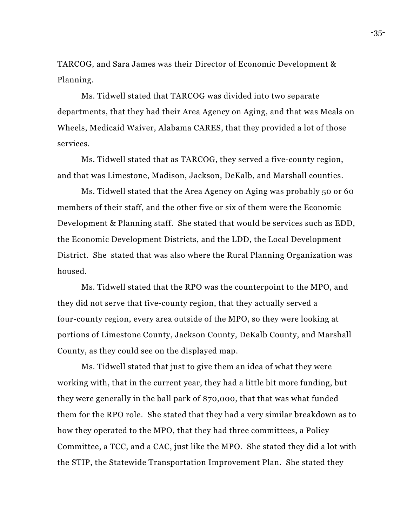TARCOG, and Sara James was their Director of Economic Development & Planning.

Ms. Tidwell stated that TARCOG was divided into two separate departments, that they had their Area Agency on Aging, and that was Meals on Wheels, Medicaid Waiver, Alabama CARES, that they provided a lot of those services.

Ms. Tidwell stated that as TARCOG, they served a five-county region, and that was Limestone, Madison, Jackson, DeKalb, and Marshall counties.

Ms. Tidwell stated that the Area Agency on Aging was probably 50 or 60 members of their staff, and the other five or six of them were the Economic Development & Planning staff. She stated that would be services such as EDD, the Economic Development Districts, and the LDD, the Local Development District. She stated that was also where the Rural Planning Organization was housed.

Ms. Tidwell stated that the RPO was the counterpoint to the MPO, and they did not serve that five-county region, that they actually served a four-county region, every area outside of the MPO, so they were looking at portions of Limestone County, Jackson County, DeKalb County, and Marshall County, as they could see on the displayed map.

Ms. Tidwell stated that just to give them an idea of what they were working with, that in the current year, they had a little bit more funding, but they were generally in the ball park of \$70,000, that that was what funded them for the RPO role. She stated that they had a very similar breakdown as to how they operated to the MPO, that they had three committees, a Policy Committee, a TCC, and a CAC, just like the MPO. She stated they did a lot with the STIP, the Statewide Transportation Improvement Plan. She stated they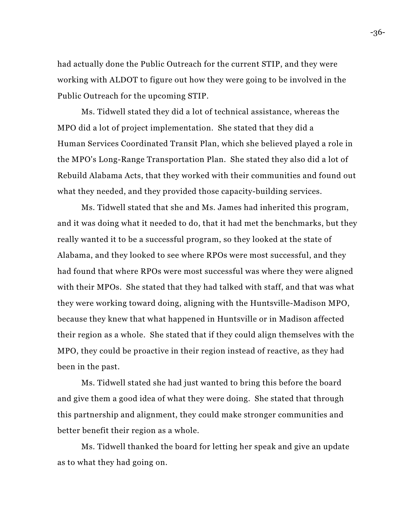had actually done the Public Outreach for the current STIP, and they were working with ALDOT to figure out how they were going to be involved in the Public Outreach for the upcoming STIP.

Ms. Tidwell stated they did a lot of technical assistance, whereas the MPO did a lot of project implementation. She stated that they did a Human Services Coordinated Transit Plan, which she believed played a role in the MPO's Long-Range Transportation Plan. She stated they also did a lot of Rebuild Alabama Acts, that they worked with their communities and found out what they needed, and they provided those capacity-building services.

Ms. Tidwell stated that she and Ms. James had inherited this program, and it was doing what it needed to do, that it had met the benchmarks, but they really wanted it to be a successful program, so they looked at the state of Alabama, and they looked to see where RPOs were most successful, and they had found that where RPOs were most successful was where they were aligned with their MPOs. She stated that they had talked with staff, and that was what they were working toward doing, aligning with the Huntsville-Madison MPO, because they knew that what happened in Huntsville or in Madison affected their region as a whole. She stated that if they could align themselves with the MPO, they could be proactive in their region instead of reactive, as they had been in the past.

Ms. Tidwell stated she had just wanted to bring this before the board and give them a good idea of what they were doing. She stated that through this partnership and alignment, they could make stronger communities and better benefit their region as a whole.

Ms. Tidwell thanked the board for letting her speak and give an update as to what they had going on.

-36-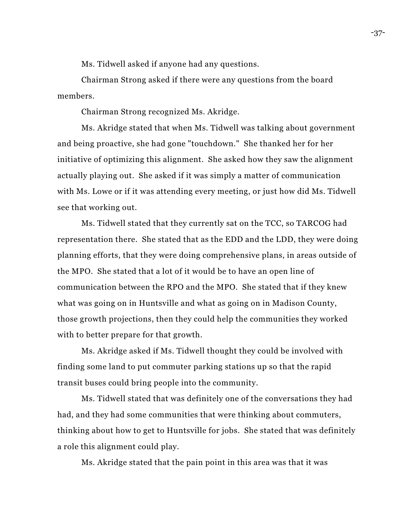Ms. Tidwell asked if anyone had any questions.

Chairman Strong asked if there were any questions from the board members.

Chairman Strong recognized Ms. Akridge.

Ms. Akridge stated that when Ms. Tidwell was talking about government and being proactive, she had gone "touchdown." She thanked her for her initiative of optimizing this alignment. She asked how they saw the alignment actually playing out. She asked if it was simply a matter of communication with Ms. Lowe or if it was attending every meeting, or just how did Ms. Tidwell see that working out.

Ms. Tidwell stated that they currently sat on the TCC, so TARCOG had representation there. She stated that as the EDD and the LDD, they were doing planning efforts, that they were doing comprehensive plans, in areas outside of the MPO. She stated that a lot of it would be to have an open line of communication between the RPO and the MPO. She stated that if they knew what was going on in Huntsville and what as going on in Madison County, those growth projections, then they could help the communities they worked with to better prepare for that growth.

Ms. Akridge asked if Ms. Tidwell thought they could be involved with finding some land to put commuter parking stations up so that the rapid transit buses could bring people into the community.

Ms. Tidwell stated that was definitely one of the conversations they had had, and they had some communities that were thinking about commuters, thinking about how to get to Huntsville for jobs. She stated that was definitely a role this alignment could play.

Ms. Akridge stated that the pain point in this area was that it was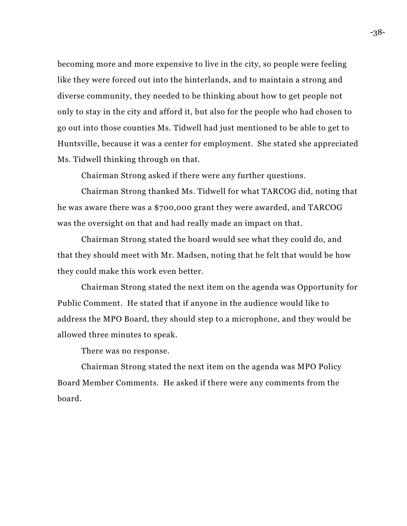becoming more and more expensive to live in the city, so people were feeling like they were forced out into the hinterlands, and to maintain a strong and diverse community, they needed to be thinking about how to get people not only to stay in the city and afford it, but also for the people who had chosen to go out into those counties Ms. Tidwell had just mentioned to be able to get to Huntsville, because it was a center for employment. She stated she appreciated Ms. Tidwell thinking through on that.

Chairman Strong asked if there were any further questions.

Chairman Strong thanked Ms. Tidwell for what TARCOG did, noting that he was aware there was a \$700,000 grant they were awarded, and TARCOG was the oversight on that and had really made an impact on that.

Chairman Strong stated the board would see what they could do, and that they should meet with Mr. Madsen, noting that he felt that would be how they could make this work even better.

Chairman Strong stated the next item on the agenda was Opportunity for Public Comment. He stated that if anyone in the audience would like to address the MPO Board, they should step to a microphone, and they would be allowed three minutes to speak.

There was no response.

Chairman Strong stated the next item on the agenda was MPO Policy Board Member Comments. He asked if there were any comments from the board.